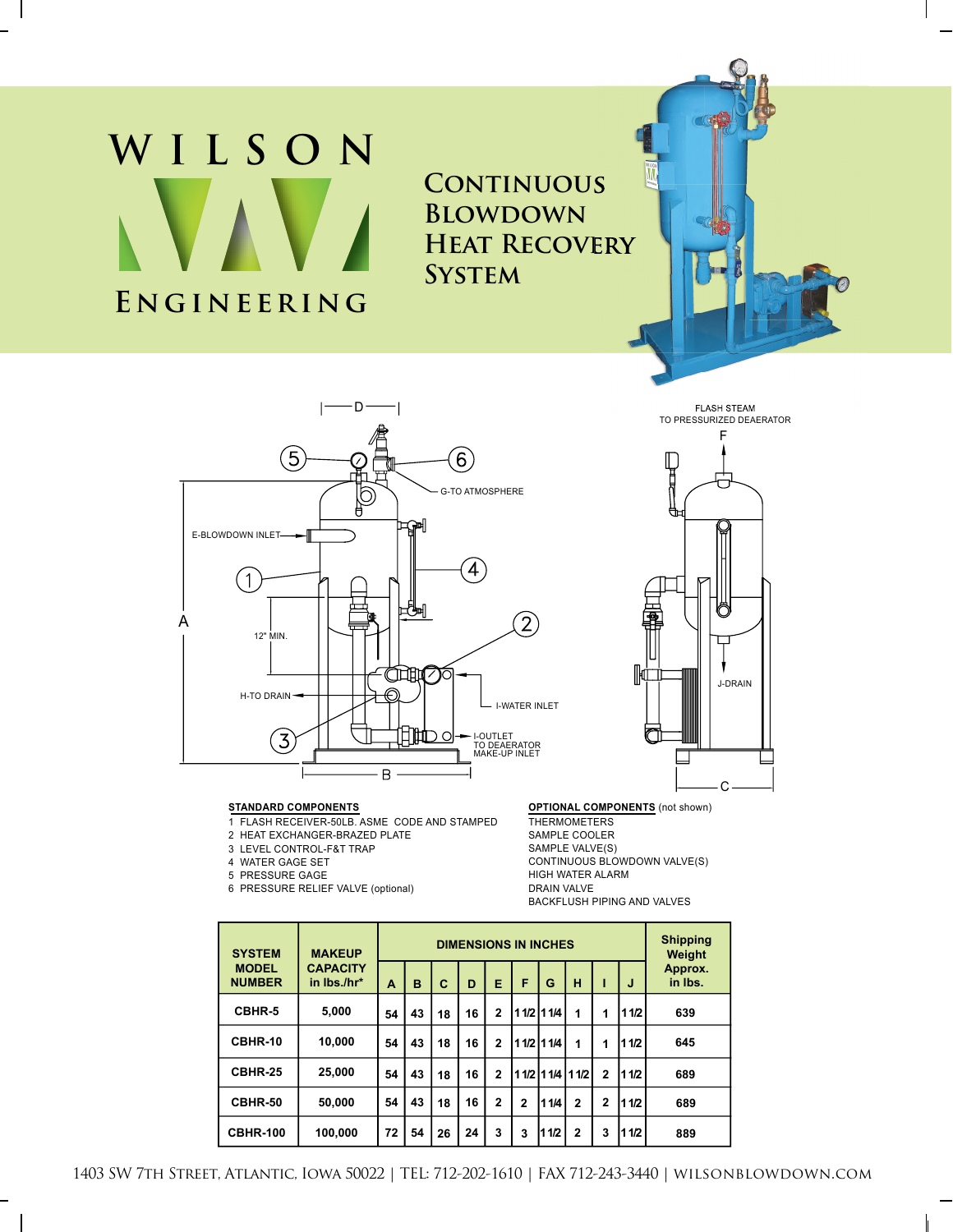# **ENGINEERING WILSON**

**CONTINUOUS Blowdown Heat Recovery System**



#### **STANDARD COMPONENTS**

- 1 FLASH RECEIVER-50LB. ASME CODE AND STAMPED
- 2 HEAT EXCHANGER-BRAZED PLATE
- 3 LEVEL CONTROL-F&T TRAP
- 4 WATER GAGE SET
- 5 PRESSURE GAGE
- 6 PRESSURE RELIEF VALVE (optional)



#### **OPTIONAL COMPONENTS** (not shown)

**THERMOMETERS** SAMPLE COOLER SAMPLE VALVE(S) CONTINUOUS BLOWDOWN VALVE(S) HIGH WATER ALARM DRAIN VALVE BACKFLUSH PIPING AND VALVES

| <b>SYSTEM</b><br><b>MODEL</b><br><b>NUMBER</b> | <b>MAKEUP</b><br><b>CAPACITY</b><br>in Ibs./hr* | <b>DIMENSIONS IN INCHES</b> |    |    |    |                |              |             |                |                |        | <b>Shipping</b><br>Weight |
|------------------------------------------------|-------------------------------------------------|-----------------------------|----|----|----|----------------|--------------|-------------|----------------|----------------|--------|---------------------------|
|                                                |                                                 | A                           | B  | C  | D  | E              | F            | G           | н              |                | J      | Approx.<br>in Ibs.        |
| CBHR-5                                         | 5,000                                           | 54                          | 43 | 18 | 16 | $\overline{2}$ |              | 1 1/2 1 1/4 | 1              | 1              | 11/2   | 639                       |
| CBHR-10                                        | 10,000                                          | 54                          | 43 | 18 | 16 | $\mathbf{2}$   |              | 1 1/2 1 1/4 | 1              | 1              | 11/2   | 645                       |
| CBHR-25                                        | 25,000                                          | 54                          | 43 | 18 | 16 | $\mathbf{2}$   |              |             | 11/2 11/4 11/2 | $\overline{2}$ | 11 1/2 | 689                       |
| CBHR-50                                        | 50,000                                          | 54                          | 43 | 18 | 16 | $\mathbf{2}$   | $\mathbf{2}$ | 11/4        | $\overline{2}$ | $\mathbf{2}$   | 11/2   | 689                       |
| <b>CBHR-100</b>                                | 100,000                                         | 72                          | 54 | 26 | 24 | 3              | 3            | 1/2<br>1    | $\overline{2}$ | 3              | 11/2   | 889                       |